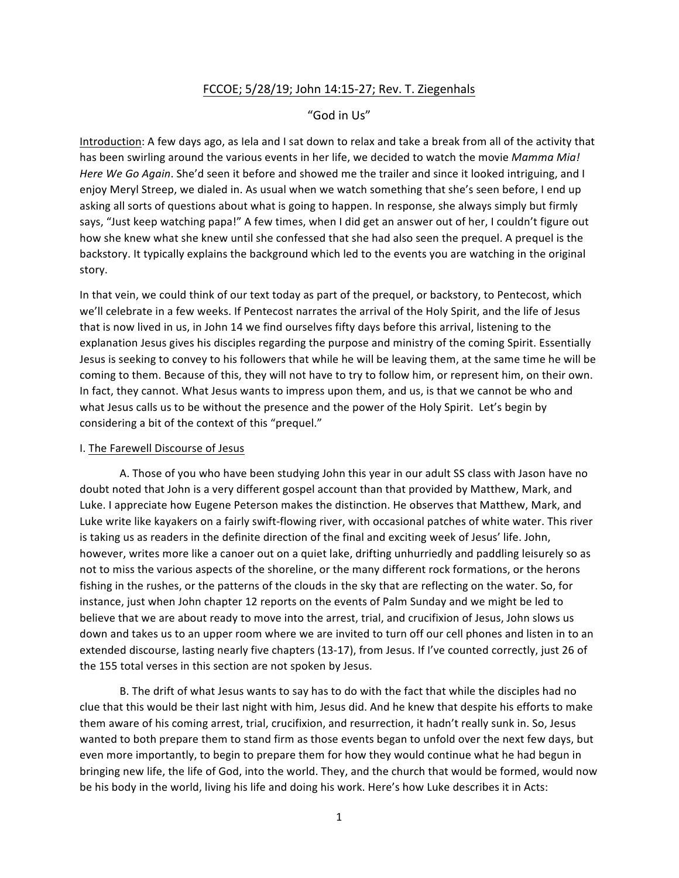## FCCOE; 5/28/19; John 14:15-27; Rev. T. Ziegenhals

## "God in Us"

Introduction: A few days ago, as lela and I sat down to relax and take a break from all of the activity that has been swirling around the various events in her life, we decided to watch the movie Mamma Mia! *Here* We Go Again. She'd seen it before and showed me the trailer and since it looked intriguing, and I enjoy Meryl Streep, we dialed in. As usual when we watch something that she's seen before, I end up asking all sorts of questions about what is going to happen. In response, she always simply but firmly says, "Just keep watching papa!" A few times, when I did get an answer out of her, I couldn't figure out how she knew what she knew until she confessed that she had also seen the prequel. A prequel is the backstory. It typically explains the background which led to the events you are watching in the original story.

In that vein, we could think of our text today as part of the prequel, or backstory, to Pentecost, which we'll celebrate in a few weeks. If Pentecost narrates the arrival of the Holy Spirit, and the life of Jesus that is now lived in us, in John 14 we find ourselves fifty days before this arrival, listening to the explanation Jesus gives his disciples regarding the purpose and ministry of the coming Spirit. Essentially Jesus is seeking to convey to his followers that while he will be leaving them, at the same time he will be coming to them. Because of this, they will not have to try to follow him, or represent him, on their own. In fact, they cannot. What Jesus wants to impress upon them, and us, is that we cannot be who and what Jesus calls us to be without the presence and the power of the Holy Spirit. Let's begin by considering a bit of the context of this "prequel."

## I. The Farewell Discourse of Jesus

A. Those of you who have been studying John this year in our adult SS class with Jason have no doubt noted that John is a very different gospel account than that provided by Matthew, Mark, and Luke. I appreciate how Eugene Peterson makes the distinction. He observes that Matthew, Mark, and Luke write like kayakers on a fairly swift-flowing river, with occasional patches of white water. This river is taking us as readers in the definite direction of the final and exciting week of Jesus' life. John, however, writes more like a canoer out on a quiet lake, drifting unhurriedly and paddling leisurely so as not to miss the various aspects of the shoreline, or the many different rock formations, or the herons fishing in the rushes, or the patterns of the clouds in the sky that are reflecting on the water. So, for instance, just when John chapter 12 reports on the events of Palm Sunday and we might be led to believe that we are about ready to move into the arrest, trial, and crucifixion of Jesus, John slows us down and takes us to an upper room where we are invited to turn off our cell phones and listen in to an extended discourse, lasting nearly five chapters (13-17), from Jesus. If I've counted correctly, just 26 of the 155 total verses in this section are not spoken by Jesus.

B. The drift of what Jesus wants to say has to do with the fact that while the disciples had no clue that this would be their last night with him, Jesus did. And he knew that despite his efforts to make them aware of his coming arrest, trial, crucifixion, and resurrection, it hadn't really sunk in. So, Jesus wanted to both prepare them to stand firm as those events began to unfold over the next few days, but even more importantly, to begin to prepare them for how they would continue what he had begun in bringing new life, the life of God, into the world. They, and the church that would be formed, would now be his body in the world, living his life and doing his work. Here's how Luke describes it in Acts: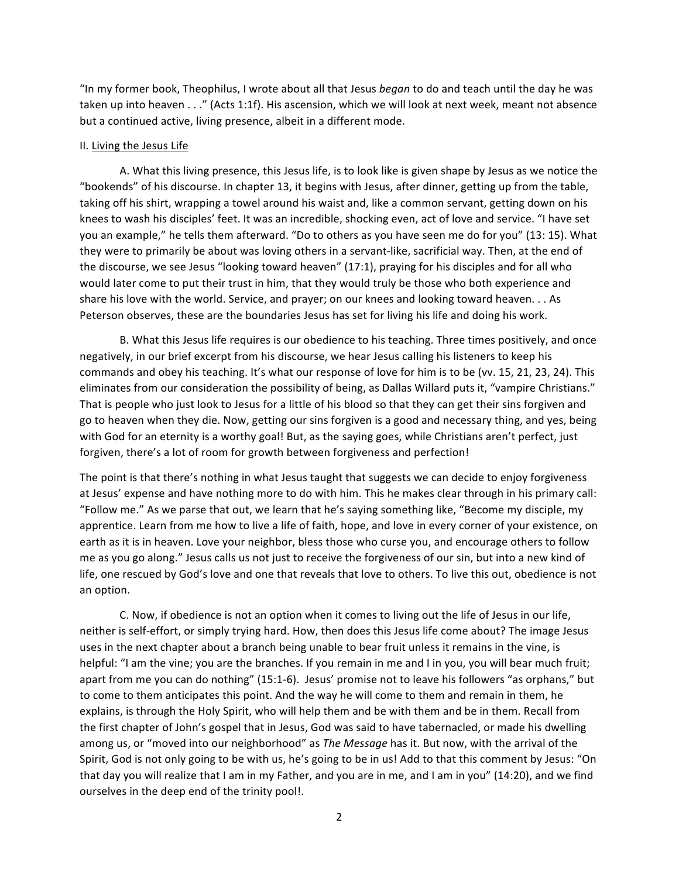"In my former book, Theophilus, I wrote about all that Jesus *began* to do and teach until the day he was taken up into heaven . . ." (Acts 1:1f). His ascension, which we will look at next week, meant not absence but a continued active, living presence, albeit in a different mode.

## II. Living the Jesus Life

A. What this living presence, this Jesus life, is to look like is given shape by Jesus as we notice the "bookends" of his discourse. In chapter 13, it begins with Jesus, after dinner, getting up from the table, taking off his shirt, wrapping a towel around his waist and, like a common servant, getting down on his knees to wash his disciples' feet. It was an incredible, shocking even, act of love and service. "I have set you an example," he tells them afterward. "Do to others as you have seen me do for you" (13: 15). What they were to primarily be about was loving others in a servant-like, sacrificial way. Then, at the end of the discourse, we see Jesus "looking toward heaven" (17:1), praying for his disciples and for all who would later come to put their trust in him, that they would truly be those who both experience and share his love with the world. Service, and prayer; on our knees and looking toward heaven. . . As Peterson observes, these are the boundaries Jesus has set for living his life and doing his work.

B. What this Jesus life requires is our obedience to his teaching. Three times positively, and once negatively, in our brief excerpt from his discourse, we hear Jesus calling his listeners to keep his commands and obey his teaching. It's what our response of love for him is to be (vv. 15, 21, 23, 24). This eliminates from our consideration the possibility of being, as Dallas Willard puts it, "vampire Christians." That is people who just look to Jesus for a little of his blood so that they can get their sins forgiven and go to heaven when they die. Now, getting our sins forgiven is a good and necessary thing, and yes, being with God for an eternity is a worthy goal! But, as the saying goes, while Christians aren't perfect, just forgiven, there's a lot of room for growth between forgiveness and perfection!

The point is that there's nothing in what Jesus taught that suggests we can decide to enjoy forgiveness at Jesus' expense and have nothing more to do with him. This he makes clear through in his primary call: "Follow me." As we parse that out, we learn that he's saying something like, "Become my disciple, my apprentice. Learn from me how to live a life of faith, hope, and love in every corner of your existence, on earth as it is in heaven. Love your neighbor, bless those who curse you, and encourage others to follow me as you go along." Jesus calls us not just to receive the forgiveness of our sin, but into a new kind of life, one rescued by God's love and one that reveals that love to others. To live this out, obedience is not an option.

C. Now, if obedience is not an option when it comes to living out the life of Jesus in our life, neither is self-effort, or simply trying hard. How, then does this Jesus life come about? The image Jesus uses in the next chapter about a branch being unable to bear fruit unless it remains in the vine, is helpful: "I am the vine; you are the branches. If you remain in me and I in you, you will bear much fruit; apart from me you can do nothing" (15:1-6). Jesus' promise not to leave his followers "as orphans," but to come to them anticipates this point. And the way he will come to them and remain in them, he explains, is through the Holy Spirit, who will help them and be with them and be in them. Recall from the first chapter of John's gospel that in Jesus, God was said to have tabernacled, or made his dwelling among us, or "moved into our neighborhood" as *The Message* has it. But now, with the arrival of the Spirit, God is not only going to be with us, he's going to be in us! Add to that this comment by Jesus: "On that day you will realize that I am in my Father, and you are in me, and I am in you" (14:20), and we find ourselves in the deep end of the trinity pool!.